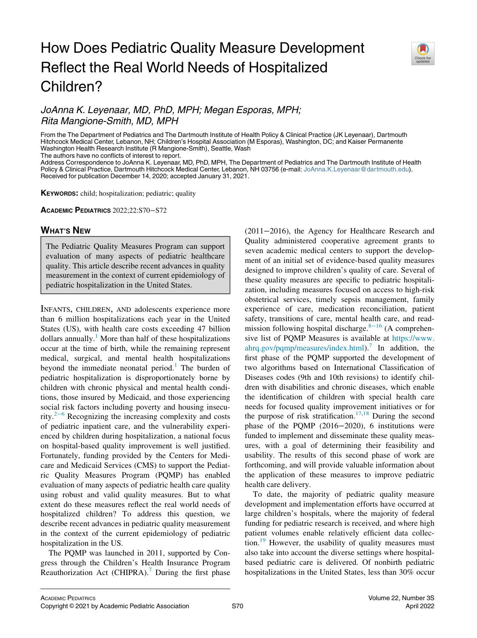# How Does Pediatric Quality Measure Development Reflect the Real World Needs of Hospitalized Children?



# JoAnna K. Leyenaar, MD, PhD, MPH; Megan Esporas, MPH;

From the The Department of Pediatrics and The Dartmouth Institute of Health Policy & Clinical Practice (JK Leyenaar), Dartmouth Hitchcock Medical Center, Lebanon, NH; Children's Hospital Association (M Esporas), Washington, DC; and Kaiser Permanente Washington Health Research Institute (R Mangione-Smith), Seattle, Wash

The authors have no conflicts of interest to report.

Address Correspondence to JoAnna K. Leyenaar, MD, PhD, MPH, The Department of Pediatrics and The Dartmouth Institute of Health Policy & Clinical Practice, Dartmouth Hitchcock Medical Center, Lebanon, NH 03756 (e-mail: [JoAnna.K.Leyenaar@dartmouth.edu\)](mailto:JoAnna.K.Leyenaar@dartmouth.edu). Received for publication December 14, 2020; accepted January 31, 2021.

KEYWORDS: child; hospitalization; pediatric; quality

ACADEMIC PEDIATRICS 2022;22:S70−S72

## WHAT'S NEW

The Pediatric Quality Measures Program can support evaluation of many aspects of pediatric healthcare quality. This article describe recent advances in quality measurement in the context of current epidemiology of pediatric hospitalization in the United States.

INFANTS, CHILDREN, AND adolescents experience more than 6 million hospitalizations each year in the United States (US), with health care costs exceeding 47 billion dollars annually.<sup>[1](#page-2-0)</sup> More than half of these hospitalizations occur at the time of birth, while the remaining represent medical, surgical, and mental health hospitalizations beyond the immediate neonatal period.<sup>[1](#page-2-0)</sup> The burden of pediatric hospitalization is disproportionately borne by children with chronic physical and mental health conditions, those insured by Medicaid, and those experiencing social risk factors including poverty and housing insecurity.2[−](#page-2-1)<sup>6</sup> Recognizing the increasing complexity and costs of pediatric inpatient care, and the vulnerability experienced by children during hospitalization, a national focus on hospital-based quality improvement is well justified. Fortunately, funding provided by the Centers for Medicare and Medicaid Services (CMS) to support the Pediatric Quality Measures Program (PQMP) has enabled evaluation of many aspects of pediatric health care quality using robust and valid quality measures. But to what extent do these measures reflect the real world needs of hospitalized children? To address this question, we describe recent advances in pediatric quality measurement in the context of the current epidemiology of pediatric hospitalization in the US.

The PQMP was launched in 2011, supported by Congress through the Children's Health Insurance Program Reauthorization Act (CHIPRA).<sup>[7](#page-2-2)</sup> During the first phase (2011−2016), the Agency for Healthcare Research and Quality administered cooperative agreement grants to seven academic medical centers to support the development of an initial set of evidence-based quality measures designed to improve children's quality of care. Several of these quality measures are specific to pediatric hospitalization, including measures focused on access to high-risk obstetrical services, timely sepsis management, family experience of care, medication reconciliation, patient safety, transitions of care, mental health care, and read-mission following hospital discharge.<sup>8−[16](#page-2-3)</sup> (A comprehensive list of PQMP Measures is available at [https://www.](https://www.ahrq.gov/pqmp/measures/index.html) [ahrq.gov/pqmp/measures/index.html\)](https://www.ahrq.gov/pqmp/measures/index.html).<sup>[7](#page-2-2)</sup> In addition, the first phase of the PQMP supported the development of two algorithms based on International Classification of Diseases codes (9th and 10th revisions) to identify children with disabilities and chronic diseases, which enable the identification of children with special health care needs for focused quality improvement initiatives or for the purpose of risk stratification.<sup>[17](#page-2-4)[,18](#page-2-5)</sup> During the second phase of the PQMP (2016−2020), 6 institutions were funded to implement and disseminate these quality measures, with a goal of determining their feasibility and usability. The results of this second phase of work are forthcoming, and will provide valuable information about the application of these measures to improve pediatric health care delivery.

To date, the majority of pediatric quality measure development and implementation efforts have occurred at large children's hospitals, where the majority of federal funding for pediatric research is received, and where high patient volumes enable relatively efficient data collec-tion.<sup>[19](#page-2-6)</sup> However, the usability of quality measures must also take into account the diverse settings where hospitalbased pediatric care is delivered. Of nonbirth pediatric hospitalizations in the United States, less than 30% occur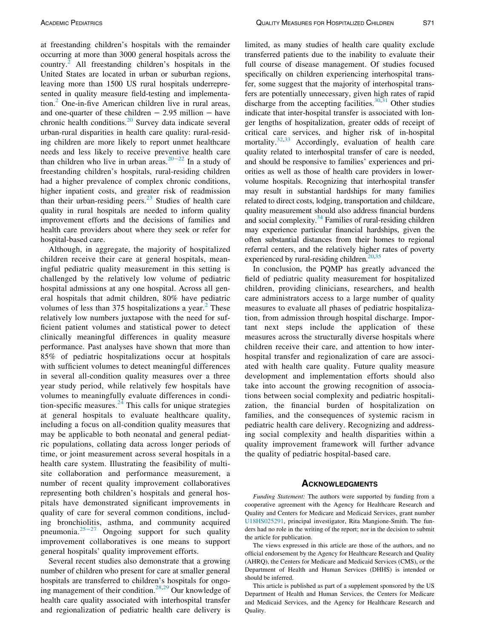at freestanding children's hospitals with the remainder occurring at more than 3000 general hospitals across the country.[2](#page-2-1) All freestanding children's hospitals in the United States are located in urban or suburban regions, leaving more than 1500 US rural hospitals underrepresented in quality measure field-testing and implementation.[2](#page-2-1) One-in-five American children live in rural areas, and one-quarter of these children  $-2.95$  million  $-$  have chronic health conditions.<sup>[20](#page-2-7)</sup> Survey data indicate several urban-rural disparities in health care quality: rural-residing children are more likely to report unmet healthcare needs and less likely to receive preventive health care than children who live in urban areas.<sup>[20](#page-2-7)−22</sup> In a study of freestanding children's hospitals, rural-residing children had a higher prevalence of complex chronic conditions, higher inpatient costs, and greater risk of readmission than their urban-residing peers.<sup>[23](#page-2-8)</sup> Studies of health care quality in rural hospitals are needed to inform quality improvement efforts and the decisions of families and health care providers about where they seek or refer for hospital-based care.

Although, in aggregate, the majority of hospitalized children receive their care at general hospitals, meaningful pediatric quality measurement in this setting is challenged by the relatively low volume of pediatric hospital admissions at any one hospital. Across all general hospitals that admit children, 80% have pediatric volumes of less than 375 hospitalizations a year.<sup>[2](#page-2-1)</sup> These relatively low numbers juxtapose with the need for sufficient patient volumes and statistical power to detect clinically meaningful differences in quality measure performance. Past analyses have shown that more than 85% of pediatric hospitalizations occur at hospitals with sufficient volumes to detect meaningful differences in several all-condition quality measures over a three year study period, while relatively few hospitals have volumes to meaningfully evaluate differences in condition-specific measures. $24$  This calls for unique strategies at general hospitals to evaluate healthcare quality, including a focus on all-condition quality measures that may be applicable to both neonatal and general pediatric populations, collating data across longer periods of time, or joint measurement across several hospitals in a health care system. Illustrating the feasibility of multisite collaboration and performance measurement, a number of recent quality improvement collaboratives representing both children's hospitals and general hospitals have demonstrated significant improvements in quality of care for several common conditions, including bronchiolitis, asthma, and community acquired pneumonia.<sup>25−[27](#page-2-10)</sup> Ongoing support for such quality improvement collaboratives is one means to support general hospitals' quality improvement efforts.

<span id="page-1-0"></span>Several recent studies also demonstrate that a growing number of children who present for care at smaller general hospitals are transferred to children's hospitals for ongoing management of their condition.[28](#page-2-11),[29](#page-2-12) Our knowledge of health care quality associated with interhospital transfer and regionalization of pediatric health care delivery is

limited, as many studies of health care quality exclude transferred patients due to the inability to evaluate their full course of disease management. Of studies focused specifically on children experiencing interhospital transfer, some suggest that the majority of interhospital transfers are potentially unnecessary, given high rates of rapid discharge from the accepting facilities.<sup>[30](#page-2-13)[,31](#page-2-14)</sup> Other studies indicate that inter-hospital transfer is associated with longer lengths of hospitalization, greater odds of receipt of critical care services, and higher risk of in-hospital mortality. $32,33$  $32,33$  $32,33$  Accordingly, evaluation of health care quality related to interhospital transfer of care is needed, and should be responsive to families' experiences and priorities as well as those of health care providers in lowervolume hospitals. Recognizing that interhospital transfer may result in substantial hardships for many families related to direct costs, lodging, transportation and childcare, quality measurement should also address financial burdens and social complexity.<sup>[34](#page-2-17)</sup> Families of rural-residing children may experience particular financial hardships, given the often substantial distances from their homes to regional referral centers, and the relatively higher rates of poverty experienced by rural-residing children.<sup>20[,35](#page-2-18)</sup>

In conclusion, the PQMP has greatly advanced the field of pediatric quality measurement for hospitalized children, providing clinicians, researchers, and health care administrators access to a large number of quality measures to evaluate all phases of pediatric hospitalization, from admission through hospital discharge. Important next steps include the application of these measures across the structurally diverse hospitals where children receive their care, and attention to how interhospital transfer and regionalization of care are associated with health care quality. Future quality measure development and implementation efforts should also take into account the growing recognition of associations between social complexity and pediatric hospitalization, the financial burden of hospitalization on families, and the consequences of systemic racism in pediatric health care delivery. Recognizing and addressing social complexity and health disparities within a quality improvement framework will further advance the quality of pediatric hospital-based care.

### **ACKNOWLEDGMENTS**

Funding Statement: The authors were supported by funding from a cooperative agreement with the Agency for Healthcare Research and Quality and Centers for Medicare and Medicaid Services, grant number [U18HS025291](#page-1-0), principal investigator, Rita Mangione-Smith. The funders had no role in the writing of the report; nor in the decision to submit the article for publication.

The views expressed in this article are those of the authors, and no official endorsement by the Agency for Healthcare Research and Quality (AHRQ), the Centers for Medicare and Medicaid Services (CMS), or the Department of Health and Human Services (DHHS) is intended or should be inferred.

This article is published as part of a supplement sponsored by the US Department of Health and Human Services, the Centers for Medicare and Medicaid Services, and the Agency for Healthcare Research and Quality.